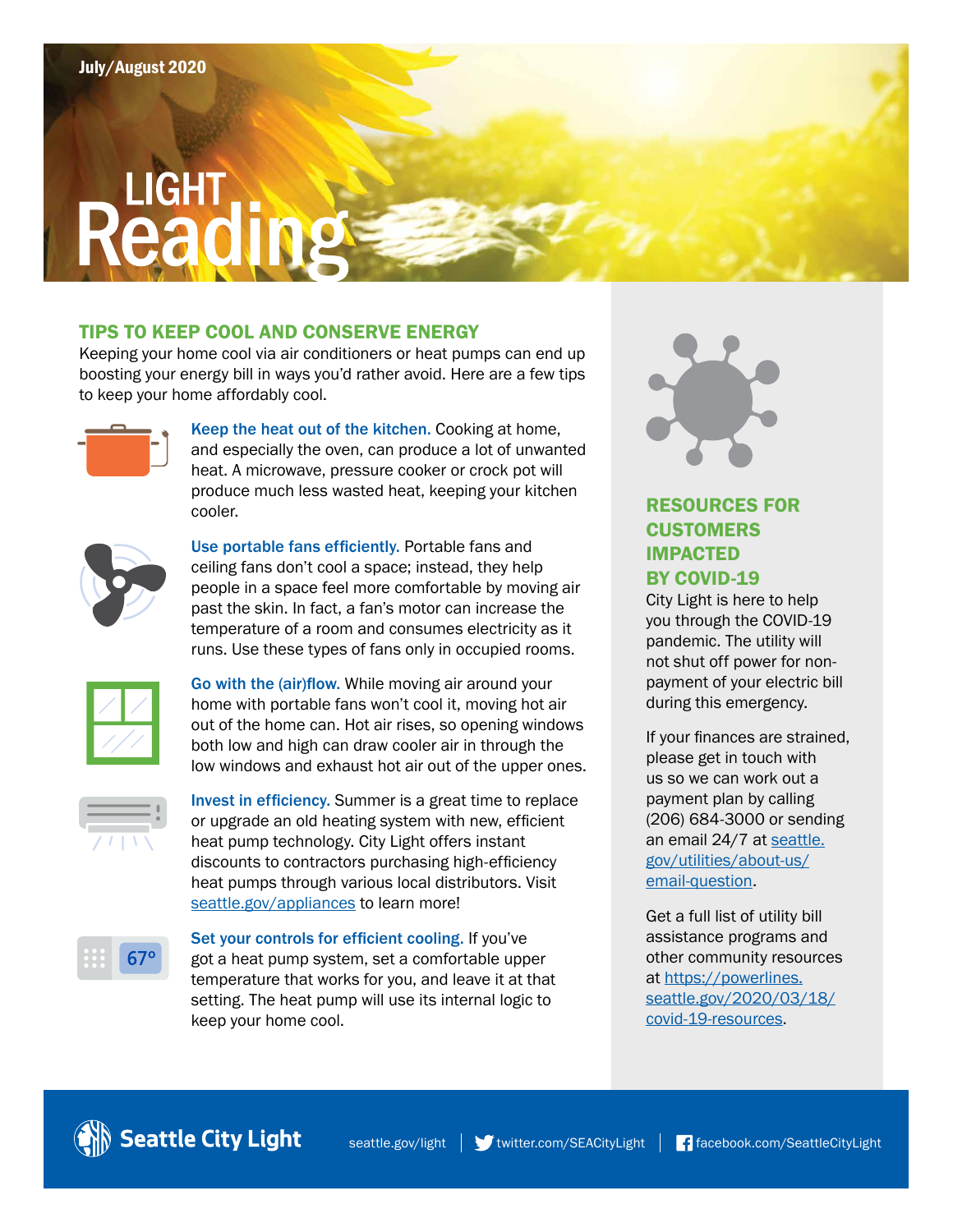# **Read**

### TIPS TO KEEP COOL AND CONSERVE ENERGY

Keeping your home cool via air conditioners or heat pumps can end up boosting your energy bill in ways you'd rather avoid. Here are a few tips to keep your home affordably cool.



Keep the heat out of the kitchen. Cooking at home, and especially the oven, can produce a lot of unwanted heat. A microwave, pressure cooker or crock pot will produce much less wasted heat, keeping your kitchen cooler.



Use portable fans efficiently. Portable fans and ceiling fans don't cool a space; instead, they help people in a space feel more comfortable by moving air past the skin. In fact, a fan's motor can increase the temperature of a room and consumes electricity as it runs. Use these types of fans only in occupied rooms.



Go with the (air)flow. While moving air around your home with portable fans won't cool it, moving hot air out of the home can. Hot air rises, so opening windows both low and high can draw cooler air in through the low windows and exhaust hot air out of the upper ones.



Invest in efficiency. Summer is a great time to replace or upgrade an old heating system with new, efficient heat pump technology. City Light offers instant discounts to contractors purchasing high-efficiency heat pumps through various local distributors. Visit [seattle.gov/appliances](http://www.seattle.gov/appliances) to learn more!



Set your controls for efficient cooling. If you've got a heat pump system, set a comfortable upper temperature that works for you, and leave it at that setting. The heat pump will use its internal logic to keep your home cool.



# RESOURCES FOR **CUSTOMERS** IMPACTED BY COVID-19

City Light is here to help you through the COVID-19 pandemic. The utility will not shut off power for nonpayment of your electric bill during this emergency.

If your finances are strained, please get in touch with us so we can work out a payment plan by calling (206) 684-3000 or sending an email 24/7 at [seattle.](http://www.seattle.gov/utilities/about-us/email-question) [gov/utilities/about-us/](http://www.seattle.gov/utilities/about-us/email-question) email-question.

Get a full list of utility bill assistance programs and other community resources at https://powerlines. [seattle.gov/2020/03/18/](https://powerlines.seattle.gov/2020/03/18/covid-19-resources) covid-19-resources.